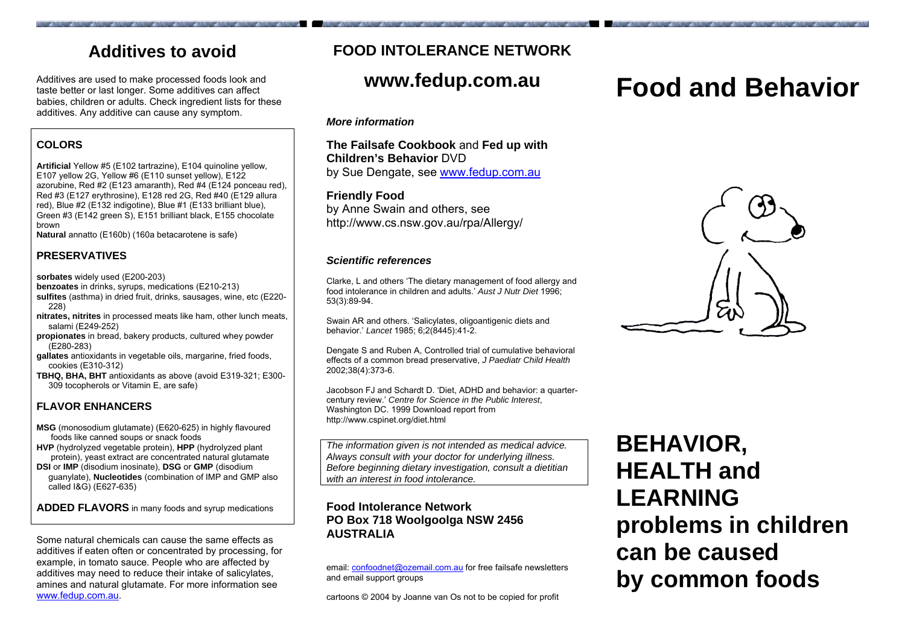# **Additives to avoid**

Additives are used to make processed foods look and taste better or last longer. Some additives can affect babies, children or adults. Check ingredient lists for these additives. Any additive can cause any symptom.

### **COLORS**

**Artificial** Yellow #5 (E102 tartrazine), E104 quinoline yellow, E107 yello w 2G, Yello w #6 (E110 sunset yellow), E122 azorubine, Red #2 (E123 amaranth), Red #4 (E124 ponceau red), Red #3 (E127 erythrosine), E128 red 2 G, Red #40 (E129 allura red), Blue #2 (E132 indigotine), Blue #1 (E133 brilliant blue), Green #3 (E142 green S), E151 brilliant black, E155 chocolate brown

**Natural** annatto (E160b) (160a betacarotene is safe)

#### **PRESERVATIVES**

**sorbates**  widely used (E200-203)

- **benzoates** in drinks, syrups, medications (E210-213)
- **sulfites** (asthma) in dried fruit, drinks, sausages, wine, etc (E220- 228)
- **nitrates, nitrites** in processed meats like ham, other lunch meats, salami (E249-252)
- **propionates** in bread, bakery products, cultured whey powder (E280-283)
- **gallates** antioxidants in vegetable oils, margarine, fried foods, cookies (E310-312)
- **TBH Q, BH A, BHT** antioxidants as above (avoid E319-321; E300- 309 tocopherols or Vitamin E, are safe)

#### **FLAVOR ENHANCERS**

- **MSG** (monosodium glutamate) (E620-625) in highly flavoured foods like canned soups or snack foods
- **HVP** (hydrolyzed vegetable protein), **HPP** (hydrolyzed plant protein), yeast extract are concentrated natural glutamate
- **DSI** or **IMP** (disodium inosinate), **DSG** or **GMP** (disodium guanylate), **Nucleotides** (combination of IMP and GMP also called I&G) (E627-635)

**ADDED F L A VORS** in many foods and syrup medications

Some natural chemicals can cause the same effects as additives if eaten often or concentrated by processing, for example, in tomato sauce. People who are affected by additives may need to reduce their intake of salicylates, amines and natural glutamate. For more information see [www.fedup.com.au](http://www.fedup.com.au/).

# **FOOD INTOLERANCE NETWORK**

# **www.fedup.com.au**

#### *More information*

**The Failsafe Cookbook** and **Fed up with Children's Behavior** DVDby Sue Dengate, see [www.fedup.com.au](http://www.fedup.com.au/)

#### **Friendly Food**

by Anne Swain and others, see http://www.cs.nsw.gov.au/rpa/Allergy/

#### *Scientific references*

Clarke, L and others 'The dietary management of food allergy and food intolerance in children and adults.' *Aust J Nutr Diet* 1996; 53(3):89-94.

Swain AR and others. 'Salicylates, oligoantigenic diets and behavior.' *Lancet* 1985; 6;2(8445):41-2.

Dengate S and Ruben A, Controlled trial of cumulative behavioral effects of a common bread preservative, *J Paediatr Child Health* 2002;38(4):373-6.

Jacobson FJ and Schardt D. 'Diet, ADHD and behavior: a quartercentury revie w.' *Centre for Science in the Public Interest*, Washington DC. 1999 Download report from http://www.cspinet.org/diet.html

*The informati on given is not intended as medical advice. Always consult with your doctor for underlying illness. Before beginning dietary investigation, consult a dietitian with an interest in food intolerance.*

#### **Food Intolerance Network PO Box 718 Woolgoolga NSW 2456 AUSTRALIA**

email: [confoodnet@ozemail.com.au](mailto:confoodnet@ozemail.com.au) for free failsafe newsletters and email support groups

cartoons © 2004 by Joanne van Os not to be copied for profit

# **Food and Behavior**